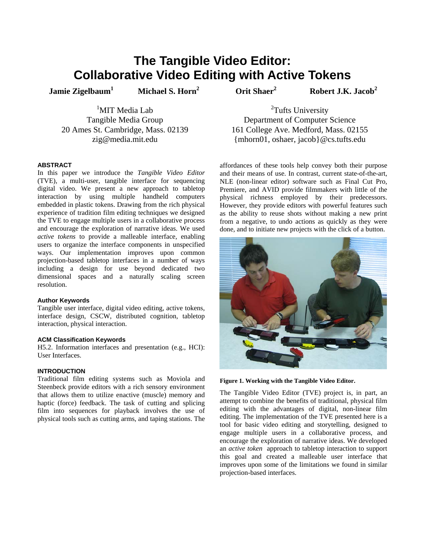# **The Tangible Video Editor: Collaborative Video Editing with Active Tokens**

**Jamie Zigelbaum<sup>1</sup>**

**Michael S. Horn<sup>2</sup> <b>Orit Shaer<sup>2</sup> Robert J.K. Jacob<sup>2</sup>** 

<sup>2</sup>Tufts University Department of Computer Science 161 College Ave. Medford, Mass. 02155 {mhorn01, oshaer, jacob}@cs.tufts.edu

affordances of these tools help convey both their purpose and their means of use. In contrast, current state-of-the-art, NLE (non-linear editor) software such as Final Cut Pro, Premiere, and AVID provide filmmakers with little of the physical richness employed by their predecessors. However, they provide editors with powerful features such as the ability to reuse shots without making a new print from a negative, to undo actions as quickly as they were done, and to initiate new projects with the click of a button.



**Figure 1. Working with the Tangible Video Editor.** 

The Tangible Video Editor (TVE) project is, in part, an attempt to combine the benefits of traditional, physical film editing with the advantages of digital, non-linear film editing. The implementation of the TVE presented here is a tool for basic video editing and storytelling, designed to engage multiple users in a collaborative process, and encourage the exploration of narrative ideas. We developed an *active token* approach to tabletop interaction to support this goal and created a malleable user interface that improves upon some of the limitations we found in similar projection-based interfaces.

<sup>1</sup>MIT Media Lab Tangible Media Group 20 Ames St. Cambridge, Mass. 02139 zig@media.mit.edu

## **ABSTRACT**

In this paper we introduce the *Tangible Video Editor* (TVE), a multi-user, tangible interface for sequencing digital video. We present a new approach to tabletop interaction by using multiple handheld computers embedded in plastic tokens. Drawing from the rich physical experience of tradition film editing techniques we designed the TVE to engage multiple users in a collaborative process and encourage the exploration of narrative ideas. We used *active tokens* to provide a malleable interface, enabling users to organize the interface components in unspecified ways. Our implementation improves upon common projection-based tabletop interfaces in a number of ways including a design for use beyond dedicated two dimensional spaces and a naturally scaling screen resolution.

### **Author Keywords**

Tangible user interface, digital video editing, active tokens, interface design, CSCW, distributed cognition, tabletop interaction, physical interaction.

## **ACM Classification Keywords**

H5.2. Information interfaces and presentation (e.g., HCI): User Interfaces.

# **INTRODUCTION**

Traditional film editing systems such as Moviola and Steenbeck provide editors with a rich sensory environment that allows them to utilize enactive (muscle) memory and haptic (force) feedback. The task of cutting and splicing film into sequences for playback involves the use of physical tools such as cutting arms, and taping stations. The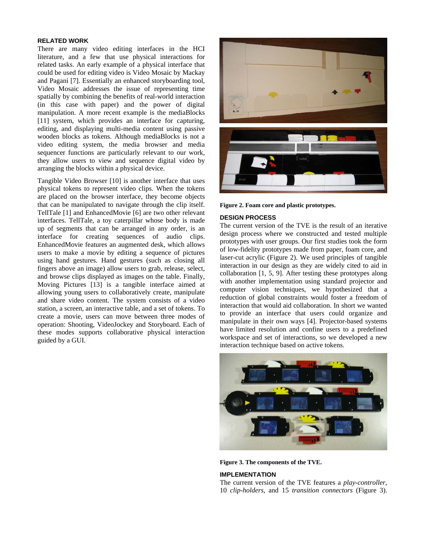#### **RELATED WORK**

There are many video editing interfaces in the HCI literature, and a few that use physical interactions for related tasks. An early example of a physical interface that could be used for editing video is Video Mosaic by Mackay and Pagani [7]. Essentially an enhanced storyboarding tool, Video Mosaic addresses the issue of representing time spatially by combining the benefits of real-world interaction (in this case with paper) and the power of digital manipulation. A more recent example is the mediaBlocks [11] system, which provides an interface for capturing, editing, and displaying multi-media content using passive wooden blocks as tokens. Although mediaBlocks is not a video editing system, the media browser and media sequencer functions are particularly relevant to our work, they allow users to view and sequence digital video by arranging the blocks within a physical device.

Tangible Video Browser [10] is another interface that uses physical tokens to represent video clips. When the tokens are placed on the browser interface, they become objects that can be manipulated to navigate through the clip itself. TellTale [1] and EnhancedMovie [6] are two other relevant interfaces. TellTale, a toy caterpillar whose body is made up of segments that can be arranged in any order, is an interface for creating sequences of audio clips. EnhancedMovie features an augmented desk, which allows users to make a movie by editing a sequence of pictures using hand gestures. Hand gestures (such as closing all fingers above an image) allow users to grab, release, select, and browse clips displayed as images on the table. Finally, Moving Pictures [13] is a tangible interface aimed at allowing young users to collaboratively create, manipulate and share video content. The system consists of a video station, a screen, an interactive table, and a set of tokens. To create a movie, users can move between three modes of operation: Shooting, VideoJockey and Storyboard. Each of these modes supports collaborative physical interaction guided by a GUI.



**Figure 2. Foam core and plastic prototypes.** 

#### **DESIGN PROCESS**

The current version of the TVE is the result of an iterative design process where we constructed and tested multiple prototypes with user groups. Our first studies took the form of low-fidelity prototypes made from paper, foam core, and laser-cut acrylic (Figure 2). We used principles of tangible interaction in our design as they are widely cited to aid in collaboration [1, 5, 9]. After testing these prototypes along with another implementation using standard projector and computer vision techniques, we hypothesized that a reduction of global constraints would foster a freedom of interaction that would aid collaboration. In short we wanted to provide an interface that users could organize and manipulate in their own ways [4]. Projector-based systems have limited resolution and confine users to a predefined workspace and set of interactions, so we developed a new interaction technique based on active tokens.



**Figure 3. The components of the TVE.** 

#### **IMPLEMENTATION**

The current version of the TVE features a *play-controller*, 10 *clip-holders*, and 15 *transition connectors* (Figure 3).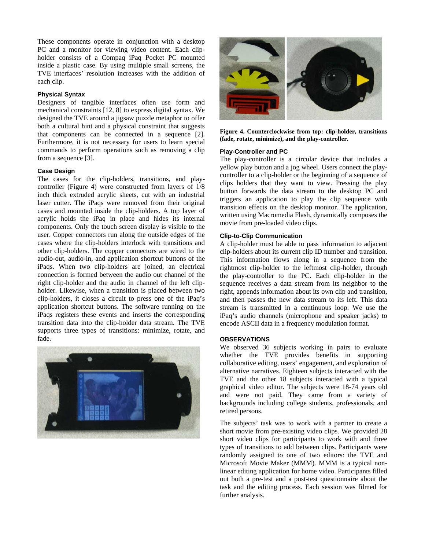These components operate in conjunction with a desktop PC and a monitor for viewing video content. Each clipholder consists of a Compaq iPaq Pocket PC mounted inside a plastic case. By using multiple small screens, the TVE interfaces' resolution increases with the addition of each clip.

### **Physical Syntax**

Designers of tangible interfaces often use form and mechanical constraints [12, 8] to express digital syntax. We designed the TVE around a jigsaw puzzle metaphor to offer both a cultural hint and a physical constraint that suggests that components can be connected in a sequence [2]. Furthermore, it is not necessary for users to learn special commands to perform operations such as removing a clip from a sequence [3].

## **Case Design**

The cases for the clip-holders, transitions, and playcontroller (Figure 4) were constructed from layers of 1/8 inch thick extruded acrylic sheets, cut with an industrial laser cutter. The iPaqs were removed from their original cases and mounted inside the clip-holders. A top layer of acrylic holds the iPaq in place and hides its internal components. Only the touch screen display is visible to the user. Copper connectors run along the outside edges of the cases where the clip-holders interlock with transitions and other clip-holders. The copper connectors are wired to the audio-out, audio-in, and application shortcut buttons of the iPaqs. When two clip-holders are joined, an electrical connection is formed between the audio out channel of the right clip-holder and the audio in channel of the left clipholder. Likewise, when a transition is placed between two clip-holders, it closes a circuit to press one of the iPaq's application shortcut buttons. The software running on the iPaqs registers these events and inserts the corresponding transition data into the clip-holder data stream. The TVE supports three types of transitions: minimize, rotate, and fade.





**Figure 4. Counterclockwise from top: clip-holder, transitions (fade, rotate, minimize), and the play-controller.** 

#### **Play-Controller and PC**

The play-controller is a circular device that includes a yellow play button and a jog wheel. Users connect the playcontroller to a clip-holder or the beginning of a sequence of clips holders that they want to view. Pressing the play button forwards the data stream to the desktop PC and triggers an application to play the clip sequence with transition effects on the desktop monitor. The application, written using Macromedia Flash, dynamically composes the movie from pre-loaded video clips.

#### **Clip-to-Clip Communication**

A clip-holder must be able to pass information to adjacent clip-holders about its current clip ID number and transition. This information flows along in a sequence from the rightmost clip-holder to the leftmost clip-holder, through the play-controller to the PC. Each clip-holder in the sequence receives a data stream from its neighbor to the right, appends information about its own clip and transition, and then passes the new data stream to its left. This data stream is transmitted in a continuous loop. We use the iPaq's audio channels (microphone and speaker jacks) to encode ASCII data in a frequency modulation format.

## **OBSERVATIONS**

We observed 36 subjects working in pairs to evaluate whether the TVE provides benefits in supporting collaborative editing, users' engagement, and exploration of alternative narratives. Eighteen subjects interacted with the TVE and the other 18 subjects interacted with a typical graphical video editor. The subjects were 18-74 years old and were not paid. They came from a variety of backgrounds including college students, professionals, and retired persons.

The subjects' task was to work with a partner to create a short movie from pre-existing video clips. We provided 28 short video clips for participants to work with and three types of transitions to add between clips. Participants were randomly assigned to one of two editors: the TVE and Microsoft Movie Maker (MMM). MMM is a typical nonlinear editing application for home video. Participants filled out both a pre-test and a post-test questionnaire about the task and the editing process. Each session was filmed for further analysis.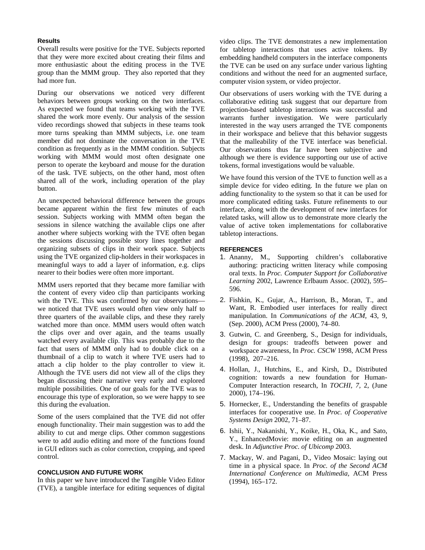#### **Results**

Overall results were positive for the TVE. Subjects reported that they were more excited about creating their films and more enthusiastic about the editing process in the TVE group than the MMM group. They also reported that they had more fun.

During our observations we noticed very different behaviors between groups working on the two interfaces. As expected we found that teams working with the TVE shared the work more evenly. Our analysis of the session video recordings showed that subjects in these teams took more turns speaking than MMM subjects, i.e. one team member did not dominate the conversation in the TVE condition as frequently as in the MMM condition. Subjects working with MMM would most often designate one person to operate the keyboard and mouse for the duration of the task. TVE subjects, on the other hand, most often shared all of the work, including operation of the play button.

An unexpected behavioral difference between the groups became apparent within the first few minutes of each session. Subjects working with MMM often began the sessions in silence watching the available clips one after another where subjects working with the TVE often began the sessions discussing possible story lines together and organizing subsets of clips in their work space. Subjects using the TVE organized clip-holders in their workspaces in meaningful ways to add a layer of information, e.g. clips nearer to their bodies were often more important.

MMM users reported that they became more familiar with the content of every video clip than participants working with the TVE. This was confirmed by our observations we noticed that TVE users would often view only half to three quarters of the available clips, and these they rarely watched more than once. MMM users would often watch the clips over and over again, and the teams usually watched every available clip. This was probably due to the fact that users of MMM only had to double click on a thumbnail of a clip to watch it where TVE users had to attach a clip holder to the play controller to view it. Although the TVE users did not view all of the clips they began discussing their narrative very early and explored multiple possibilities. One of our goals for the TVE was to encourage this type of exploration, so we were happy to see this during the evaluation.

Some of the users complained that the TVE did not offer enough functionality. Their main suggestion was to add the ability to cut and merge clips. Other common suggestions were to add audio editing and more of the functions found in GUI editors such as color correction, cropping, and speed control.

### **CONCLUSION AND FUTURE WORK**

In this paper we have introduced the Tangible Video Editor (TVE), a tangible interface for editing sequences of digital video clips. The TVE demonstrates a new implementation for tabletop interactions that uses active tokens. By embedding handheld computers in the interface components the TVE can be used on any surface under various lighting conditions and without the need for an augmented surface, computer vision system, or video projector.

Our observations of users working with the TVE during a collaborative editing task suggest that our departure from projection-based tabletop interactions was successful and warrants further investigation. We were particularly interested in the way users arranged the TVE components in their workspace and believe that this behavior suggests that the malleability of the TVE interface was beneficial. Our observations thus far have been subjective and although we there is evidence supporting our use of active tokens, formal investigations would be valuable.

We have found this version of the TVE to function well as a simple device for video editing. In the future we plan on adding functionality to the system so that it can be used for more complicated editing tasks. Future refinements to our interface, along with the development of new interfaces for related tasks, will allow us to demonstrate more clearly the value of active token implementations for collaborative tabletop interactions.

#### **REFERENCES**

- 1. Ananny, M., Supporting children's collaborative authoring: practicing written literacy while composing oral texts. In *Proc. Computer Support for Collaborative Learning* 2002, Lawrence Erlbaum Assoc. (2002), 595– 596.
- 2. Fishkin, K., Gujar, A., Harrison, B., Moran, T., and Want, R. Embodied user interfaces for really direct manipulation. In *Communications of the ACM*, 43, 9, (Sep. 2000), ACM Press (2000), 74–80.
- 3. Gutwin, C. and Greenberg, S., Design for individuals, design for groups: tradeoffs between power and workspace awareness, In *Proc. CSCW* 1998, ACM Press (1998), 207–216.
- 4. Hollan, J., Hutchins, E., and Kirsh, D., Distributed cognition: towards a new foundation for Human-Computer Interaction research, In *TOCHI, 7,* 2, (June 2000), 174–196.
- 5. Hornecker, E., Understanding the benefits of graspable interfaces for cooperative use. In *Proc. of Cooperative Systems Design* 2002, 71–87.
- 6. Ishii, Y., Nakanishi, Y., Koike, H., Oka, K., and Sato, Y., EnhancedMovie: movie editing on an augmented desk. In *Adjunctive Proc. of Ubicomp* 2003.
- 7. Mackay, W. and Pagani, D., Video Mosaic: laying out time in a physical space. In *Proc. of the Second ACM International Conference on Multimedia,* ACM Press (1994), 165–172.